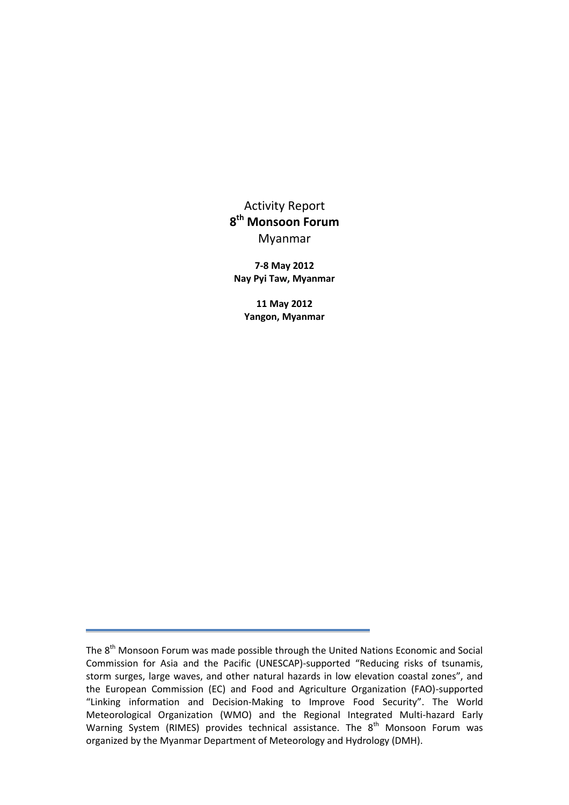Activity Report **8 th Monsoon Forum** Myanmar

**7-8 May 2012 Nay Pyi Taw, Myanmar**

**11 May 2012 Yangon, Myanmar**

The 8<sup>th</sup> Monsoon Forum was made possible through the United Nations Economic and Social Commission for Asia and the Pacific (UNESCAP)-supported "Reducing risks of tsunamis, storm surges, large waves, and other natural hazards in low elevation coastal zones", and the European Commission (EC) and Food and Agriculture Organization (FAO)-supported "Linking information and Decision-Making to Improve Food Security". The World Meteorological Organization (WMO) and the Regional Integrated Multi-hazard Early Warning System (RIMES) provides technical assistance. The  $8<sup>th</sup>$  Monsoon Forum was organized by the Myanmar Department of Meteorology and Hydrology (DMH).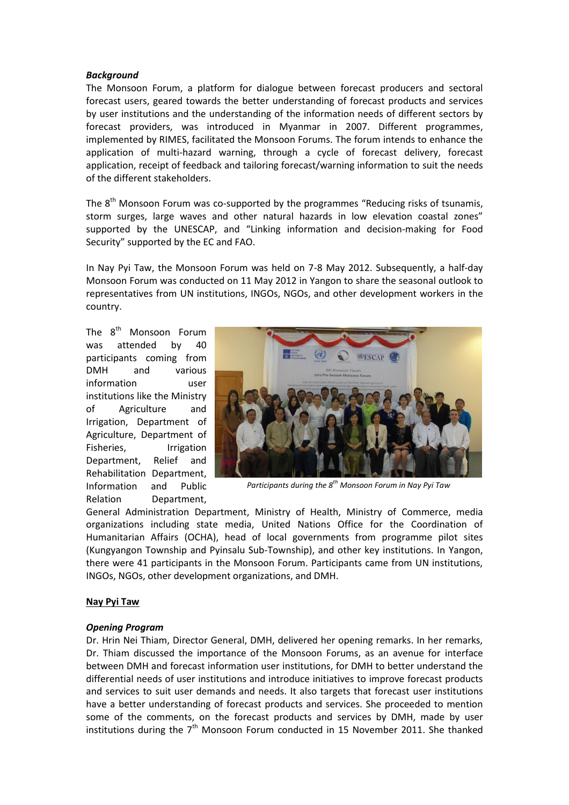#### *Background*

The Monsoon Forum, a platform for dialogue between forecast producers and sectoral forecast users, geared towards the better understanding of forecast products and services by user institutions and the understanding of the information needs of different sectors by forecast providers, was introduced in Myanmar in 2007. Different programmes, implemented by RIMES, facilitated the Monsoon Forums. The forum intends to enhance the application of multi-hazard warning, through a cycle of forecast delivery, forecast application, receipt of feedback and tailoring forecast/warning information to suit the needs of the different stakeholders.

The  $8<sup>th</sup>$  Monsoon Forum was co-supported by the programmes "Reducing risks of tsunamis, storm surges, large waves and other natural hazards in low elevation coastal zones" supported by the UNESCAP, and "Linking information and decision-making for Food Security" supported by the EC and FAO.

In Nay Pyi Taw, the Monsoon Forum was held on 7-8 May 2012. Subsequently, a half-day Monsoon Forum was conducted on 11 May 2012 in Yangon to share the seasonal outlook to representatives from UN institutions, INGOs, NGOs, and other development workers in the country.

The 8<sup>th</sup> Monsoon Forum was attended by 40 participants coming from DMH and various information user institutions like the Ministry of Agriculture and Irrigation, Department of Agriculture, Department of Fisheries, Irrigation Department, Relief and Rehabilitation Department, Information and Public Relation Department,



*Participants during the 8th Monsoon Forum in Nay Pyi Taw*

General Administration Department, Ministry of Health, Ministry of Commerce, media organizations including state media, United Nations Office for the Coordination of Humanitarian Affairs (OCHA), head of local governments from programme pilot sites (Kungyangon Township and Pyinsalu Sub-Township), and other key institutions. In Yangon, there were 41 participants in the Monsoon Forum. Participants came from UN institutions, INGOs, NGOs, other development organizations, and DMH.

### **Nay Pyi Taw**

### *Opening Program*

Dr. Hrin Nei Thiam, Director General, DMH, delivered her opening remarks. In her remarks, Dr. Thiam discussed the importance of the Monsoon Forums, as an avenue for interface between DMH and forecast information user institutions, for DMH to better understand the differential needs of user institutions and introduce initiatives to improve forecast products and services to suit user demands and needs. It also targets that forecast user institutions have a better understanding of forecast products and services. She proceeded to mention some of the comments, on the forecast products and services by DMH, made by user institutions during the  $7<sup>th</sup>$  Monsoon Forum conducted in 15 November 2011. She thanked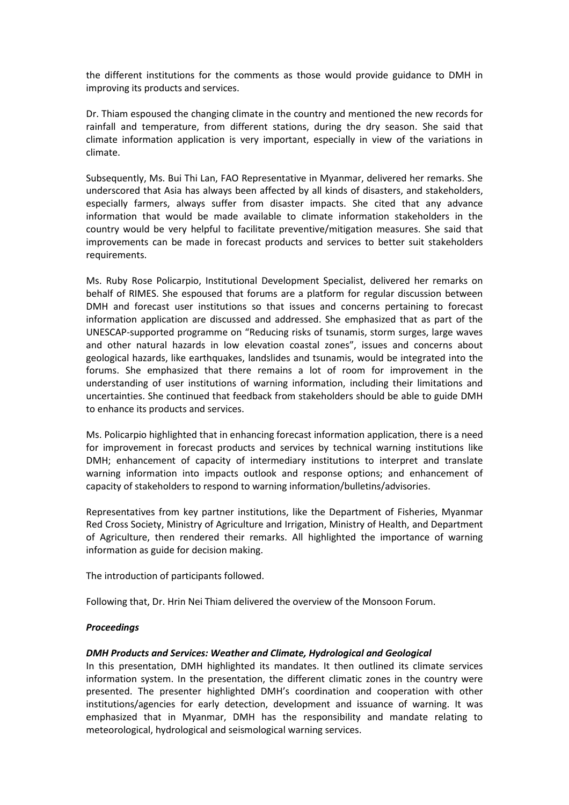the different institutions for the comments as those would provide guidance to DMH in improving its products and services.

Dr. Thiam espoused the changing climate in the country and mentioned the new records for rainfall and temperature, from different stations, during the dry season. She said that climate information application is very important, especially in view of the variations in climate.

Subsequently, Ms. Bui Thi Lan, FAO Representative in Myanmar, delivered her remarks. She underscored that Asia has always been affected by all kinds of disasters, and stakeholders, especially farmers, always suffer from disaster impacts. She cited that any advance information that would be made available to climate information stakeholders in the country would be very helpful to facilitate preventive/mitigation measures. She said that improvements can be made in forecast products and services to better suit stakeholders requirements.

Ms. Ruby Rose Policarpio, Institutional Development Specialist, delivered her remarks on behalf of RIMES. She espoused that forums are a platform for regular discussion between DMH and forecast user institutions so that issues and concerns pertaining to forecast information application are discussed and addressed. She emphasized that as part of the UNESCAP-supported programme on "Reducing risks of tsunamis, storm surges, large waves and other natural hazards in low elevation coastal zones", issues and concerns about geological hazards, like earthquakes, landslides and tsunamis, would be integrated into the forums. She emphasized that there remains a lot of room for improvement in the understanding of user institutions of warning information, including their limitations and uncertainties. She continued that feedback from stakeholders should be able to guide DMH to enhance its products and services.

Ms. Policarpio highlighted that in enhancing forecast information application, there is a need for improvement in forecast products and services by technical warning institutions like DMH; enhancement of capacity of intermediary institutions to interpret and translate warning information into impacts outlook and response options; and enhancement of capacity of stakeholders to respond to warning information/bulletins/advisories.

Representatives from key partner institutions, like the Department of Fisheries, Myanmar Red Cross Society, Ministry of Agriculture and Irrigation, Ministry of Health, and Department of Agriculture, then rendered their remarks. All highlighted the importance of warning information as guide for decision making.

The introduction of participants followed.

Following that, Dr. Hrin Nei Thiam delivered the overview of the Monsoon Forum.

### *Proceedings*

### *DMH Products and Services: Weather and Climate, Hydrological and Geological*

In this presentation, DMH highlighted its mandates. It then outlined its climate services information system. In the presentation, the different climatic zones in the country were presented. The presenter highlighted DMH's coordination and cooperation with other institutions/agencies for early detection, development and issuance of warning. It was emphasized that in Myanmar, DMH has the responsibility and mandate relating to meteorological, hydrological and seismological warning services.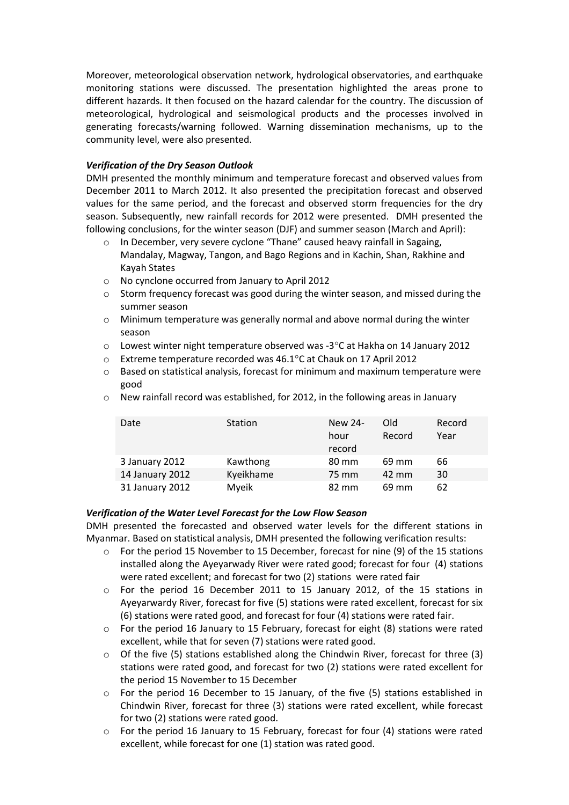Moreover, meteorological observation network, hydrological observatories, and earthquake monitoring stations were discussed. The presentation highlighted the areas prone to different hazards. It then focused on the hazard calendar for the country. The discussion of meteorological, hydrological and seismological products and the processes involved in generating forecasts/warning followed. Warning dissemination mechanisms, up to the community level, were also presented.

## *Verification of the Dry Season Outlook*

DMH presented the monthly minimum and temperature forecast and observed values from December 2011 to March 2012. It also presented the precipitation forecast and observed values for the same period, and the forecast and observed storm frequencies for the dry season. Subsequently, new rainfall records for 2012 were presented. DMH presented the following conclusions, for the winter season (DJF) and summer season (March and April):

- o In December, very severe cyclone "Thane" caused heavy rainfall in Sagaing, Mandalay, Magway, Tangon, and Bago Regions and in Kachin, Shan, Rakhine and Kayah States
- o No cynclone occurred from January to April 2012
- o Storm frequency forecast was good during the winter season, and missed during the summer season
- o Minimum temperature was generally normal and above normal during the winter season
- $\circ$  Lowest winter night temperature observed was -3 $\degree$ C at Hakha on 14 January 2012
- o Extreme temperature recorded was 46.1C at Chauk on 17 April 2012
- o Based on statistical analysis, forecast for minimum and maximum temperature were good
- o New rainfall record was established, for 2012, in the following areas in January

| Date            | Station   | New 24-<br>hour<br>record | Old<br>Record | Record<br>Year |
|-----------------|-----------|---------------------------|---------------|----------------|
| 3 January 2012  | Kawthong  | 80 mm                     | 69 mm         | 66             |
| 14 January 2012 | Kyeikhame | 75 mm                     | 42 mm         | 30             |
| 31 January 2012 | Myeik     | 82 mm                     | 69 mm         | 62             |

### *Verification of the Water Level Forecast for the Low Flow Season*

DMH presented the forecasted and observed water levels for the different stations in Myanmar. Based on statistical analysis, DMH presented the following verification results:

- $\circ$  For the period 15 November to 15 December, forecast for nine (9) of the 15 stations installed along the Ayeyarwady River were rated good; forecast for four (4) stations were rated excellent; and forecast for two (2) stations were rated fair
- o For the period 16 December 2011 to 15 January 2012, of the 15 stations in Ayeyarwardy River, forecast for five (5) stations were rated excellent, forecast for six (6) stations were rated good, and forecast for four (4) stations were rated fair.
- o For the period 16 January to 15 February, forecast for eight (8) stations were rated excellent, while that for seven (7) stations were rated good.
- $\circ$  Of the five (5) stations established along the Chindwin River, forecast for three (3) stations were rated good, and forecast for two (2) stations were rated excellent for the period 15 November to 15 December
- o For the period 16 December to 15 January, of the five (5) stations established in Chindwin River, forecast for three (3) stations were rated excellent, while forecast for two (2) stations were rated good.
- $\circ$  For the period 16 January to 15 February, forecast for four (4) stations were rated excellent, while forecast for one (1) station was rated good.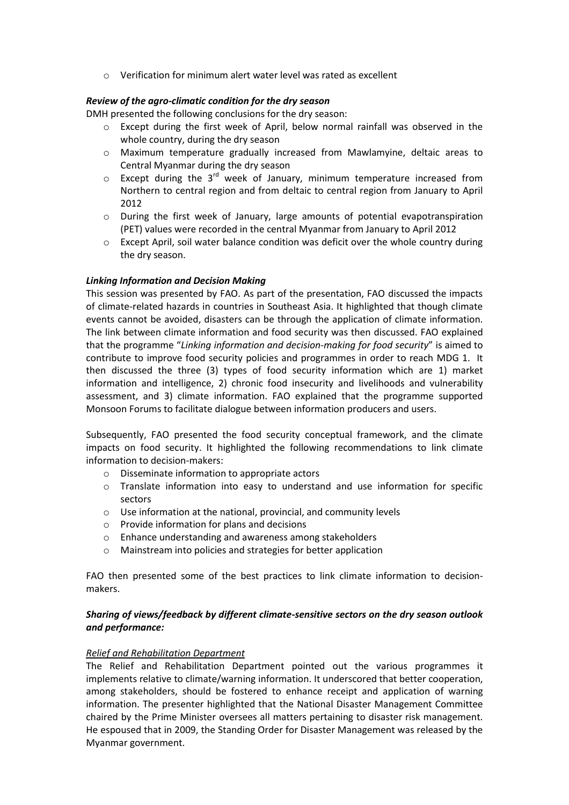o Verification for minimum alert water level was rated as excellent

## *Review of the agro-climatic condition for the dry season*

DMH presented the following conclusions for the dry season:

- o Except during the first week of April, below normal rainfall was observed in the whole country, during the dry season
- o Maximum temperature gradually increased from Mawlamyine, deltaic areas to Central Myanmar during the dry season
- $\circ$  Except during the 3<sup>rd</sup> week of January, minimum temperature increased from Northern to central region and from deltaic to central region from January to April 2012
- o During the first week of January, large amounts of potential evapotranspiration (PET) values were recorded in the central Myanmar from January to April 2012
- o Except April, soil water balance condition was deficit over the whole country during the dry season.

## *Linking Information and Decision Making*

This session was presented by FAO. As part of the presentation, FAO discussed the impacts of climate-related hazards in countries in Southeast Asia. It highlighted that though climate events cannot be avoided, disasters can be through the application of climate information. The link between climate information and food security was then discussed. FAO explained that the programme "*Linking information and decision-making for food security*" is aimed to contribute to improve food security policies and programmes in order to reach MDG 1. It then discussed the three (3) types of food security information which are 1) market information and intelligence, 2) chronic food insecurity and livelihoods and vulnerability assessment, and 3) climate information. FAO explained that the programme supported Monsoon Forums to facilitate dialogue between information producers and users.

Subsequently, FAO presented the food security conceptual framework, and the climate impacts on food security. It highlighted the following recommendations to link climate information to decision-makers:

- o Disseminate information to appropriate actors
- o Translate information into easy to understand and use information for specific sectors
- o Use information at the national, provincial, and community levels
- o Provide information for plans and decisions
- o Enhance understanding and awareness among stakeholders
- o Mainstream into policies and strategies for better application

FAO then presented some of the best practices to link climate information to decisionmakers.

## *Sharing of views/feedback by different climate-sensitive sectors on the dry season outlook and performance:*

### *Relief and Rehabilitation Department*

The Relief and Rehabilitation Department pointed out the various programmes it implements relative to climate/warning information. It underscored that better cooperation, among stakeholders, should be fostered to enhance receipt and application of warning information. The presenter highlighted that the National Disaster Management Committee chaired by the Prime Minister oversees all matters pertaining to disaster risk management. He espoused that in 2009, the Standing Order for Disaster Management was released by the Myanmar government.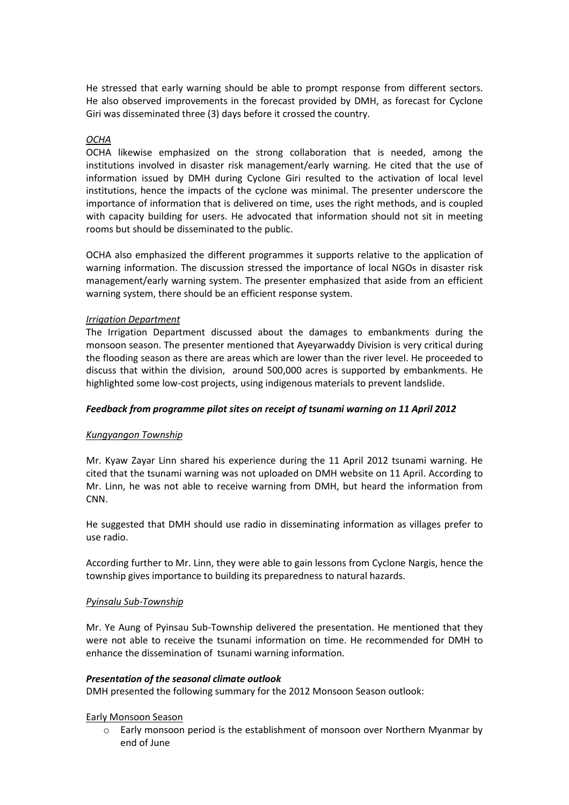He stressed that early warning should be able to prompt response from different sectors. He also observed improvements in the forecast provided by DMH, as forecast for Cyclone Giri was disseminated three (3) days before it crossed the country.

### *OCHA*

OCHA likewise emphasized on the strong collaboration that is needed, among the institutions involved in disaster risk management/early warning. He cited that the use of information issued by DMH during Cyclone Giri resulted to the activation of local level institutions, hence the impacts of the cyclone was minimal. The presenter underscore the importance of information that is delivered on time, uses the right methods, and is coupled with capacity building for users. He advocated that information should not sit in meeting rooms but should be disseminated to the public.

OCHA also emphasized the different programmes it supports relative to the application of warning information. The discussion stressed the importance of local NGOs in disaster risk management/early warning system. The presenter emphasized that aside from an efficient warning system, there should be an efficient response system.

### *Irrigation Department*

The Irrigation Department discussed about the damages to embankments during the monsoon season. The presenter mentioned that Ayeyarwaddy Division is very critical during the flooding season as there are areas which are lower than the river level. He proceeded to discuss that within the division, around 500,000 acres is supported by embankments. He highlighted some low-cost projects, using indigenous materials to prevent landslide.

### *Feedback from programme pilot sites on receipt of tsunami warning on 11 April 2012*

### *Kungyangon Township*

Mr. Kyaw Zayar Linn shared his experience during the 11 April 2012 tsunami warning. He cited that the tsunami warning was not uploaded on DMH website on 11 April. According to Mr. Linn, he was not able to receive warning from DMH, but heard the information from CNN.

He suggested that DMH should use radio in disseminating information as villages prefer to use radio.

According further to Mr. Linn, they were able to gain lessons from Cyclone Nargis, hence the township gives importance to building its preparedness to natural hazards.

### *Pyinsalu Sub-Township*

Mr. Ye Aung of Pyinsau Sub-Township delivered the presentation. He mentioned that they were not able to receive the tsunami information on time. He recommended for DMH to enhance the dissemination of tsunami warning information.

### *Presentation of the seasonal climate outlook*

DMH presented the following summary for the 2012 Monsoon Season outlook:

### Early Monsoon Season

 $\circ$  Early monsoon period is the establishment of monsoon over Northern Myanmar by end of June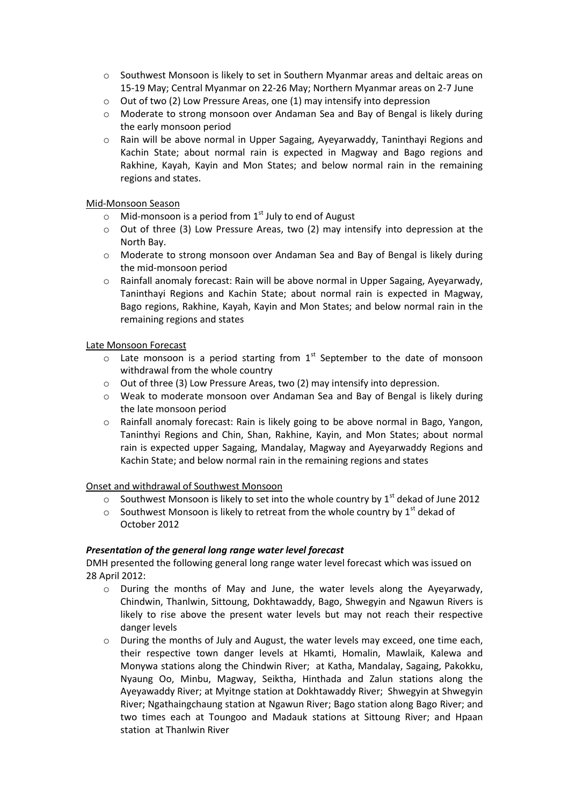- o Southwest Monsoon is likely to set in Southern Myanmar areas and deltaic areas on 15-19 May; Central Myanmar on 22-26 May; Northern Myanmar areas on 2-7 June
- $\circ$  Out of two (2) Low Pressure Areas, one (1) may intensify into depression
- o Moderate to strong monsoon over Andaman Sea and Bay of Bengal is likely during the early monsoon period
- o Rain will be above normal in Upper Sagaing, Ayeyarwaddy, Taninthayi Regions and Kachin State; about normal rain is expected in Magway and Bago regions and Rakhine, Kayah, Kayin and Mon States; and below normal rain in the remaining regions and states.

## Mid-Monsoon Season

- $\circ$  Mid-monsoon is a period from 1<sup>st</sup> July to end of August
- o Out of three (3) Low Pressure Areas, two (2) may intensify into depression at the North Bay.
- o Moderate to strong monsoon over Andaman Sea and Bay of Bengal is likely during the mid-monsoon period
- o Rainfall anomaly forecast: Rain will be above normal in Upper Sagaing, Ayeyarwady, Taninthayi Regions and Kachin State; about normal rain is expected in Magway, Bago regions, Rakhine, Kayah, Kayin and Mon States; and below normal rain in the remaining regions and states

## Late Monsoon Forecast

- $\circ$  Late monsoon is a period starting from 1<sup>st</sup> September to the date of monsoon withdrawal from the whole country
- o Out of three (3) Low Pressure Areas, two (2) may intensify into depression.
- o Weak to moderate monsoon over Andaman Sea and Bay of Bengal is likely during the late monsoon period
- o Rainfall anomaly forecast: Rain is likely going to be above normal in Bago, Yangon, Taninthyi Regions and Chin, Shan, Rakhine, Kayin, and Mon States; about normal rain is expected upper Sagaing, Mandalay, Magway and Ayeyarwaddy Regions and Kachin State; and below normal rain in the remaining regions and states

### Onset and withdrawal of Southwest Monsoon

- $\circ$  Southwest Monsoon is likely to set into the whole country by 1<sup>st</sup> dekad of June 2012
- $\circ$  Southwest Monsoon is likely to retreat from the whole country by 1<sup>st</sup> dekad of October 2012

# *Presentation of the general long range water level forecast*

DMH presented the following general long range water level forecast which was issued on 28 April 2012:

- o During the months of May and June, the water levels along the Ayeyarwady, Chindwin, Thanlwin, Sittoung, Dokhtawaddy, Bago, Shwegyin and Ngawun Rivers is likely to rise above the present water levels but may not reach their respective danger levels
- o During the months of July and August, the water levels may exceed, one time each, their respective town danger levels at Hkamti, Homalin, Mawlaik, Kalewa and Monywa stations along the Chindwin River; at Katha, Mandalay, Sagaing, Pakokku, Nyaung Oo, Minbu, Magway, Seiktha, Hinthada and Zalun stations along the Ayeyawaddy River; at Myitnge station at Dokhtawaddy River; Shwegyin at Shwegyin River; Ngathaingchaung station at Ngawun River; Bago station along Bago River; and two times each at Toungoo and Madauk stations at Sittoung River; and Hpaan station at Thanlwin River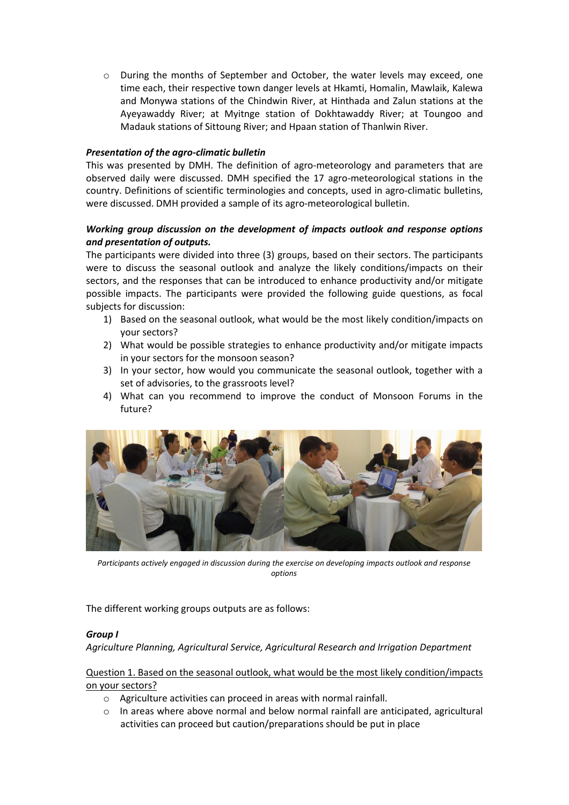o During the months of September and October, the water levels may exceed, one time each, their respective town danger levels at Hkamti, Homalin, Mawlaik, Kalewa and Monywa stations of the Chindwin River, at Hinthada and Zalun stations at the Ayeyawaddy River; at Myitnge station of Dokhtawaddy River; at Toungoo and Madauk stations of Sittoung River; and Hpaan station of Thanlwin River.

## *Presentation of the agro-climatic bulletin*

This was presented by DMH. The definition of agro-meteorology and parameters that are observed daily were discussed. DMH specified the 17 agro-meteorological stations in the country. Definitions of scientific terminologies and concepts, used in agro-climatic bulletins, were discussed. DMH provided a sample of its agro-meteorological bulletin.

# *Working group discussion on the development of impacts outlook and response options and presentation of outputs.*

The participants were divided into three (3) groups, based on their sectors. The participants were to discuss the seasonal outlook and analyze the likely conditions/impacts on their sectors, and the responses that can be introduced to enhance productivity and/or mitigate possible impacts. The participants were provided the following guide questions, as focal subjects for discussion:

- 1) Based on the seasonal outlook, what would be the most likely condition/impacts on your sectors?
- 2) What would be possible strategies to enhance productivity and/or mitigate impacts in your sectors for the monsoon season?
- 3) In your sector, how would you communicate the seasonal outlook, together with a set of advisories, to the grassroots level?
- 4) What can you recommend to improve the conduct of Monsoon Forums in the future?



*Participants actively engaged in discussion during the exercise on developing impacts outlook and response options*

The different working groups outputs are as follows:

### *Group I*

*Agriculture Planning, Agricultural Service, Agricultural Research and Irrigation Department* 

Question 1. Based on the seasonal outlook, what would be the most likely condition/impacts on your sectors?

- o Agriculture activities can proceed in areas with normal rainfall.
- $\circ$  In areas where above normal and below normal rainfall are anticipated, agricultural activities can proceed but caution/preparations should be put in place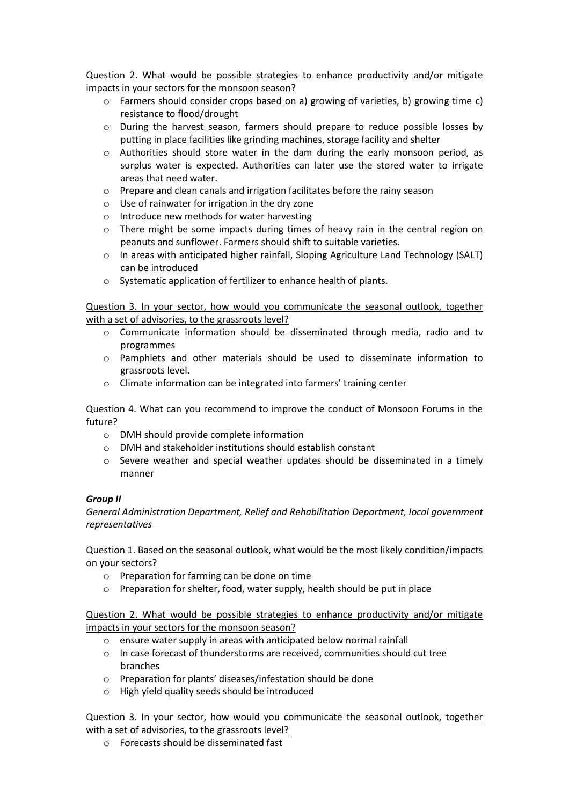Question 2. What would be possible strategies to enhance productivity and/or mitigate impacts in your sectors for the monsoon season?

- o Farmers should consider crops based on a) growing of varieties, b) growing time c) resistance to flood/drought
- o During the harvest season, farmers should prepare to reduce possible losses by putting in place facilities like grinding machines, storage facility and shelter
- $\circ$  Authorities should store water in the dam during the early monsoon period, as surplus water is expected. Authorities can later use the stored water to irrigate areas that need water.
- o Prepare and clean canals and irrigation facilitates before the rainy season
- o Use of rainwater for irrigation in the dry zone
- o Introduce new methods for water harvesting
- o There might be some impacts during times of heavy rain in the central region on peanuts and sunflower. Farmers should shift to suitable varieties.
- o In areas with anticipated higher rainfall, Sloping Agriculture Land Technology (SALT) can be introduced
- o Systematic application of fertilizer to enhance health of plants.

## Question 3. In your sector, how would you communicate the seasonal outlook, together with a set of advisories, to the grassroots level?

- $\circ$  Communicate information should be disseminated through media, radio and tv programmes
- o Pamphlets and other materials should be used to disseminate information to grassroots level.
- o Climate information can be integrated into farmers' training center

## Question 4. What can you recommend to improve the conduct of Monsoon Forums in the future?

- o DMH should provide complete information
- o DMH and stakeholder institutions should establish constant
- $\circ$  Severe weather and special weather updates should be disseminated in a timely manner

### *Group II*

*General Administration Department, Relief and Rehabilitation Department, local government representatives*

Question 1. Based on the seasonal outlook, what would be the most likely condition/impacts on your sectors?

- o Preparation for farming can be done on time
- o Preparation for shelter, food, water supply, health should be put in place

Question 2. What would be possible strategies to enhance productivity and/or mitigate impacts in your sectors for the monsoon season?

- o ensure water supply in areas with anticipated below normal rainfall
- o In case forecast of thunderstorms are received, communities should cut tree branches
- o Preparation for plants' diseases/infestation should be done
- o High yield quality seeds should be introduced

Question 3. In your sector, how would you communicate the seasonal outlook, together with a set of advisories, to the grassroots level?

o Forecasts should be disseminated fast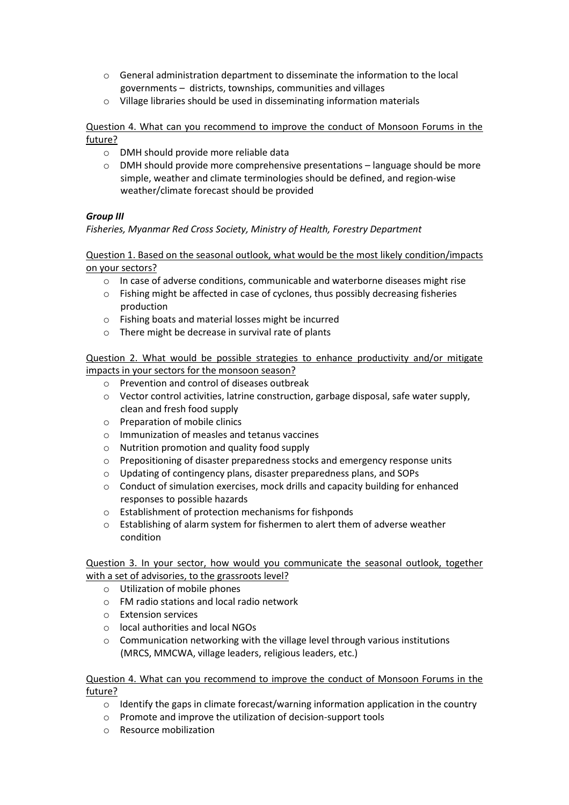- o General administration department to disseminate the information to the local governments – districts, townships, communities and villages
- o Village libraries should be used in disseminating information materials

Question 4. What can you recommend to improve the conduct of Monsoon Forums in the future?

- o DMH should provide more reliable data
- o DMH should provide more comprehensive presentations language should be more simple, weather and climate terminologies should be defined, and region-wise weather/climate forecast should be provided

## *Group III*

*Fisheries, Myanmar Red Cross Society, Ministry of Health, Forestry Department*

Question 1. Based on the seasonal outlook, what would be the most likely condition/impacts on your sectors?

- $\circ$  In case of adverse conditions, communicable and waterborne diseases might rise
- o Fishing might be affected in case of cyclones, thus possibly decreasing fisheries production
- o Fishing boats and material losses might be incurred
- o There might be decrease in survival rate of plants

Question 2. What would be possible strategies to enhance productivity and/or mitigate impacts in your sectors for the monsoon season?

- o Prevention and control of diseases outbreak
- $\circ$  Vector control activities, latrine construction, garbage disposal, safe water supply, clean and fresh food supply
- o Preparation of mobile clinics
- o Immunization of measles and tetanus vaccines
- o Nutrition promotion and quality food supply
- o Prepositioning of disaster preparedness stocks and emergency response units
- o Updating of contingency plans, disaster preparedness plans, and SOPs
- o Conduct of simulation exercises, mock drills and capacity building for enhanced responses to possible hazards
- o Establishment of protection mechanisms for fishponds
- o Establishing of alarm system for fishermen to alert them of adverse weather condition

Question 3. In your sector, how would you communicate the seasonal outlook, together with a set of advisories, to the grassroots level?

- o Utilization of mobile phones
- o FM radio stations and local radio network
- o Extension services
- o local authorities and local NGOs
- o Communication networking with the village level through various institutions (MRCS, MMCWA, village leaders, religious leaders, etc.)

### Question 4. What can you recommend to improve the conduct of Monsoon Forums in the future?

- $\circ$  Identify the gaps in climate forecast/warning information application in the country
- o Promote and improve the utilization of decision-support tools
- o Resource mobilization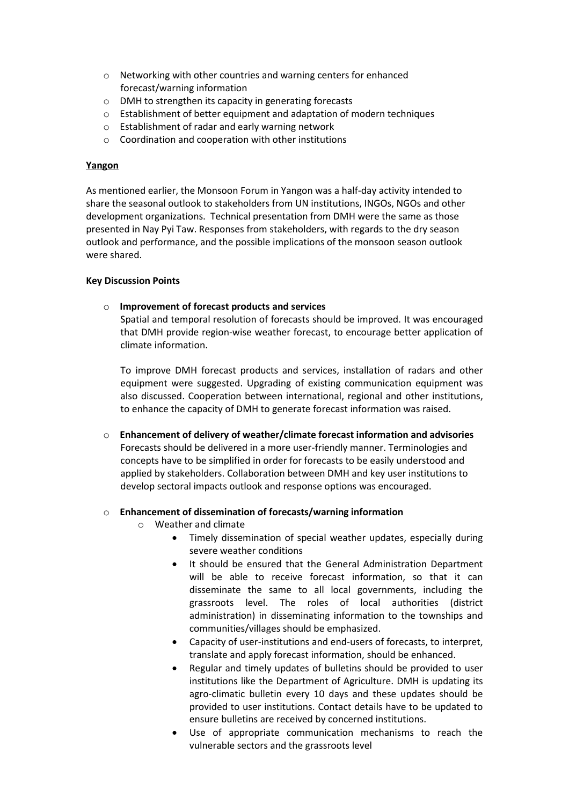- o Networking with other countries and warning centers for enhanced forecast/warning information
- o DMH to strengthen its capacity in generating forecasts
- o Establishment of better equipment and adaptation of modern techniques
- o Establishment of radar and early warning network
- o Coordination and cooperation with other institutions

### **Yangon**

As mentioned earlier, the Monsoon Forum in Yangon was a half-day activity intended to share the seasonal outlook to stakeholders from UN institutions, INGOs, NGOs and other development organizations. Technical presentation from DMH were the same as those presented in Nay Pyi Taw. Responses from stakeholders, with regards to the dry season outlook and performance, and the possible implications of the monsoon season outlook were shared.

### **Key Discussion Points**

### o **Improvement of forecast products and services**

Spatial and temporal resolution of forecasts should be improved. It was encouraged that DMH provide region-wise weather forecast, to encourage better application of climate information.

To improve DMH forecast products and services, installation of radars and other equipment were suggested. Upgrading of existing communication equipment was also discussed. Cooperation between international, regional and other institutions, to enhance the capacity of DMH to generate forecast information was raised.

o **Enhancement of delivery of weather/climate forecast information and advisories** Forecasts should be delivered in a more user-friendly manner. Terminologies and concepts have to be simplified in order for forecasts to be easily understood and applied by stakeholders. Collaboration between DMH and key user institutions to develop sectoral impacts outlook and response options was encouraged.

### o **Enhancement of dissemination of forecasts/warning information**

- o Weather and climate
	- Timely dissemination of special weather updates, especially during severe weather conditions
	- It should be ensured that the General Administration Department will be able to receive forecast information, so that it can disseminate the same to all local governments, including the grassroots level. The roles of local authorities (district administration) in disseminating information to the townships and communities/villages should be emphasized.
	- Capacity of user-institutions and end-users of forecasts, to interpret, translate and apply forecast information, should be enhanced.
	- Regular and timely updates of bulletins should be provided to user institutions like the Department of Agriculture. DMH is updating its agro-climatic bulletin every 10 days and these updates should be provided to user institutions. Contact details have to be updated to ensure bulletins are received by concerned institutions.
	- Use of appropriate communication mechanisms to reach the vulnerable sectors and the grassroots level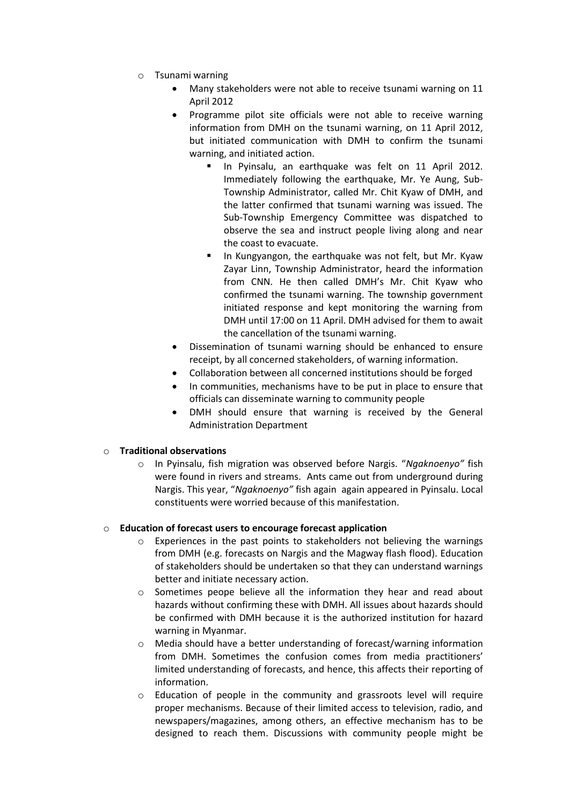- o Tsunami warning
	- Many stakeholders were not able to receive tsunami warning on 11 April 2012
	- Programme pilot site officials were not able to receive warning information from DMH on the tsunami warning, on 11 April 2012, but initiated communication with DMH to confirm the tsunami warning, and initiated action.
		- In Pyinsalu, an earthquake was felt on 11 April 2012. Immediately following the earthquake, Mr. Ye Aung, Sub-Township Administrator, called Mr. Chit Kyaw of DMH, and the latter confirmed that tsunami warning was issued. The Sub-Township Emergency Committee was dispatched to observe the sea and instruct people living along and near the coast to evacuate.
		- In Kungyangon, the earthquake was not felt, but Mr. Kyaw Zayar Linn, Township Administrator, heard the information from CNN. He then called DMH's Mr. Chit Kyaw who confirmed the tsunami warning. The township government initiated response and kept monitoring the warning from DMH until 17:00 on 11 April. DMH advised for them to await the cancellation of the tsunami warning.
	- Dissemination of tsunami warning should be enhanced to ensure receipt, by all concerned stakeholders, of warning information.
	- Collaboration between all concerned institutions should be forged
	- In communities, mechanisms have to be put in place to ensure that officials can disseminate warning to community people
	- DMH should ensure that warning is received by the General Administration Department

# o **Traditional observations**

o In Pyinsalu, fish migration was observed before Nargis. "*Ngaknoenyo"* fish were found in rivers and streams. Ants came out from underground during Nargis. This year, "*Ngaknoenyo"* fish again again appeared in Pyinsalu. Local constituents were worried because of this manifestation.

### o **Education of forecast users to encourage forecast application**

- $\circ$  Experiences in the past points to stakeholders not believing the warnings from DMH (e.g. forecasts on Nargis and the Magway flash flood). Education of stakeholders should be undertaken so that they can understand warnings better and initiate necessary action.
- $\circ$  Sometimes peope believe all the information they hear and read about hazards without confirming these with DMH. All issues about hazards should be confirmed with DMH because it is the authorized institution for hazard warning in Myanmar.
- o Media should have a better understanding of forecast/warning information from DMH. Sometimes the confusion comes from media practitioners' limited understanding of forecasts, and hence, this affects their reporting of information.
- o Education of people in the community and grassroots level will require proper mechanisms. Because of their limited access to television, radio, and newspapers/magazines, among others, an effective mechanism has to be designed to reach them. Discussions with community people might be